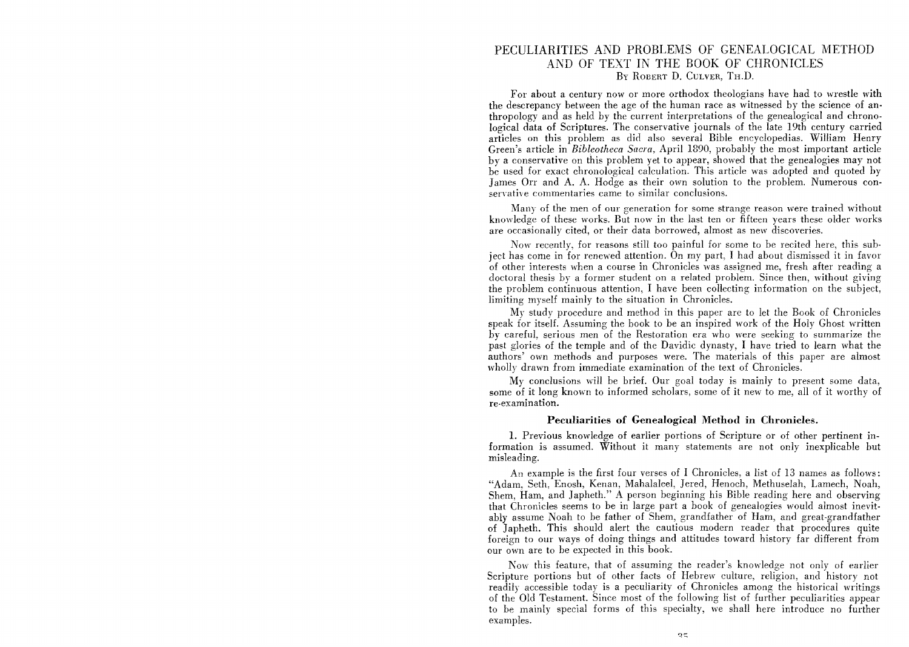## PECULIARITIES AND PROBLEMS OF GENEALOGICAL METHOD AND OF TEXT IN THE BOOK OF CHRONICLES By ROBERT D. CULVER, TH.D.

For about a century now or more orthodox theologians have had to wrestle with the descrepancy between the age of the human race as witnessed by the science of anthropology and as held by the current interpretations of the genealogical and chronological data of Scriptures. The conservative journals of the late 19th century carried articles on this problem as did also several Bible encyclopedias. William Henry Green's article in *Bibleotheca Sacra,* April 1890, probably the most important article by a conservative on this problem yet to appear, showed that the genealogies may not be used for exact chronological calculation. This article was adopted and quoted by James Orr and A. A. Hodge as their own solution to the problem. Numerous conservative commentaries came to similar conclusions.

Many of the men of our generation for some strange reason were trained without knowledge of these works. But now in the last ten or fifteen years these older works are occasionally cited, or their data borrowed, almost as new discoveries.

Now recently, for reasons still too painful for some to be recited here, this subject has *come* in for renewed attention. On my part, I had about dismissed it in favor of other interests when a course in Chronicles was assigned me, fresh after reading a doctoral thesis by a former student on a related problem. Since then, without giving the problem continuous attention, I have been collecting information on the subject, limiting myself mainly to the situation in Chronicles.

My study procedure and method in this paper are to let the Book of Chronicles speak for itself. Assuming the book to be an inspired work of the Holy Ghost written by careful, serious men of the Restoration era who were seeking to summarize the past glories of the temple and of the Davidic dynasty, I have tried to learn what the authors' own methods and purposes were. The materials of this paper are almost wholly drawn from immediate examination of the text of Chronicles.

My conclusions will be brief. Our goal today is mainly to present some data, some of it long known to informed scholars, some of it new to me, all of it worthy of re·examination\_

## **Peculiarities of Genealogical Method in Chronicles\_**

1. Previous knowledge of earlier portions of Scripture or of other pertinent information is assumed. Without it many statements are not only inexplicable but misleading.

An example is the first four verses of I Chronicles, a list of 13 names as follows: "Adam, Seth, Enosh, Kenan, Mahalaleel, Jered, Henoch, Methuselah, Lamech, Noah, Shem, Ham, and Japheth." A person beginning his Bible reading here and observing that Chronicles seems to be in large part a book of genealogies would almost inevitably assume Noah to be father of Shem, grandfather of Ham, and great-grandfather of Japheth. This should alert the cautious modern reader that procedures quite foreign to our ways of doing things and attitudes toward history far different from our own are to be expected in this book.

Now this feature, that of assuming the reader's knowledge not only of earlier Scripture portions but of other facts of Hebrew culture, religion, and history not readily accessible today is a peculiarity of Chronicles among the historical writings of the Old Testament. Since most of the following list of further peculiarities appear to be mainly special forms of this specialty, we shall here introduce no further examples.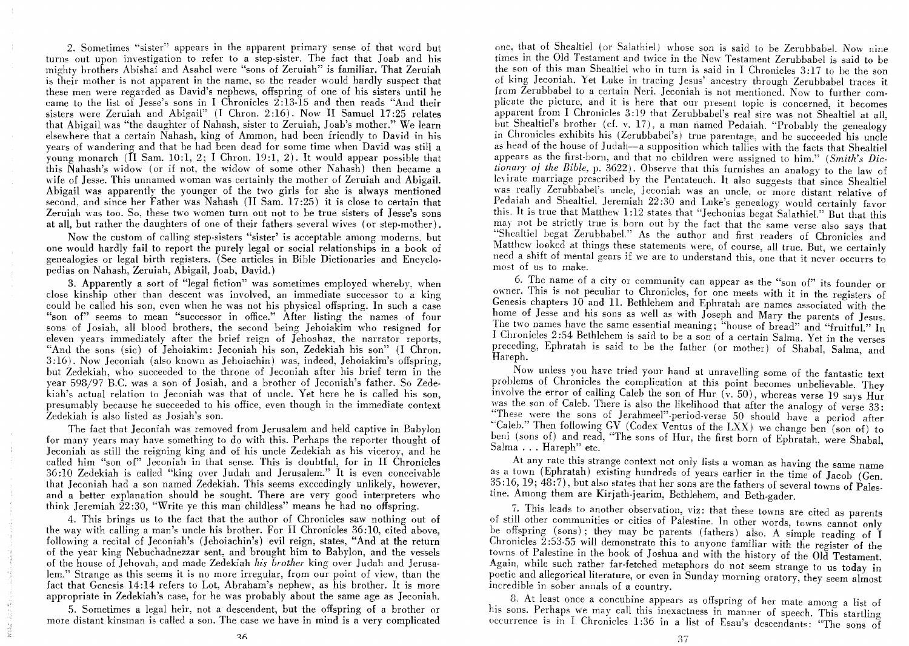2. Sometimes "sister" appears in the apparent primary sense of that word but turns out upon investigation to refer to a step-sister. The fact that Joab and his mighty brothers Abishai and Asahel were "sons of Zeruiah" is familiar. That Zeruiah is their mother is not apparent in the name, so the reader would hardly suspect that these men were regarded as David's nephews, offspring of one of his sisters until he came to the list of Jesse's sons in I Chronicles  $2:13-15$  and then reads "And their sisters were Zeruiah and Abigail" (I Chron. 2:16). Now II Samuel 17:25 relates that Abigail was "the daughter of Nahash, sister to Zeruiah, Joab's mother." We learn elsewhere that a certain Nahash, king of Ammon, had been friendly to David in his years of wandering and that he had been dead for some time when David was still a young monarch (II Sam. 10:1, 2; I Chron. 19:1, 2). It would appear possible that this Nahash's widow (or if not, the widow of some other Nahash) then became a wife of Jesse. This unnamed woman was certainly the mother of Zeruiah and Abigail. Abigail was apparently the younger of the two girls for she is always mentioned second, and since her Father was Nahash (11 Sam. 17 :25) it is close to certain that Zeruiah was too. So, these two women turn out not to be true sisters of Jesse's sons at all, but rather the daughters of one of their fathers several wives (or step-mother).

Now the custom of calling step·sisters "sister' is acceptable among modems, but one would hardly fail to report the purely legal or social relationships in a book of genealogies or legal birth registers. (See articles in Bible Dictionaries and Encyclopedias on Nahash, Zeruiah, Abigail, Joab, David.)

3. Apparently a sort of "legal fiction" was sometimes employed whereby, when close kinship other than descent was involved, an immediate successor to a king could be called his son, even when he was not his physical offspring. In such a case "son of" seems to mean "successor in office." After listing the names of four sons of Josiah, all blood brothers, the second being Jehoiakim who resigned for eleven years immediately after the brief reign of Jehoahaz, the narrator reports, "And the sons (sic) of Jehoiakim: Jeconiah his son, Zedekiah his son" (I Chron. 3:16). Now Jeconiah (also known as Jehoiachin) was, indeed, Jehoiakim's offspring, but Zedekiah, who succeeded to the throne of Jeconiah after his brief term in the year 598/97 H.C. was a son of Josiah, and a brother of Jeconiah's father. So Zedekiah's actual relation to Jeconiah was that of uncle. Yet here he is called his son, presumably because he succeeded to his office, even though in the immediate context Zedekiah is also listed as Josiah's son.

The fact that Jeconiah was removed from Jerusalem and held captive in Babylon for many years may have something to do with this. Perhaps the reporter thought of Jeconiah as still the reigning king and of his uncle Zedekiah as his viceroy, and he called him "son of" Jeconiah in that sense. This is doubtful, for in II Chronicles 36: 10 Zedekiah is called "king over J udah and Jerusalem." It is even conceivable that Jeconiah had a son named Zedekiah. This seems exceedingly unlikely, however, and a better explanation should be sought. There are very good interpreters who think Jeremiah 22 :30, "Write ye this man childless" means he had no offspring.

4. This brings us to the fact that the author of Chronicles saw nothing out of the way with calling a man's uncle his brother. For 11 Chronicles 36: 10, cited above, following a recital of Jeconiah's (Jehoiachin's) evil reign, states, "And at the return of the year king Nebuchadnezzar sent, and brought him to Babylon, and the vessels of the house of Jehovah, and made Zedekiah *his brother* king over ludah and Jerusa· lem." Strange as this seems it is no more irregular, from our point of view, than the fact that Genesis 14:14 refers to Lot, Abraham's nephew, as his brother. It is more appropriate in Zedekiah's case, for he was probably about the same age as Jeconiah.

5. Sometimes a legal heir, not a descendent, but the offspring of a brother or more distant kinsman is called a son. The case we have in mind is a very complicated

one, that of Shealtiel (or Salathiel) whose son is said to be Zerubbabel. Now nine times in the Old Testament and twice in the New Testament Zerubbabel is said to be the son of this man Shealtiel who in turn is said in I Chronicles 3: 17 to be the son of king Jeconiah. Yet Luke in tracing Jesus' ancestry through Zerubbabel traces it from Žerubbabel to a certain Neri. Jeconiah is not mentioned. Now to further complicate the picture, and it is here that our present topic is concerned, it becomes apparent from I Chronicles 3:19 that Zerubbabel's real sire was not Shealtiel at all, but Shealtiel's brother (cf. v. 17), a man named Pedaiah. "Probably the genealogy in Chronicles exhibits his (Zerubbabel's) true parentage, and he succeeded his uncle as head of the house of Judah--a supposition which tallies with the facts that Shealtiel appears as the first-born, and that no children were assigned to him." *(Smith's Dic-* $\frac{1}{2}$ *tionary of the Bible, p.* 3622). Observe that this furnishes an analogy to the law of levirate marriage prescribed by the Pentateuch. It also suggests that since Shealtiel was really Zerubbabel's uncle, Jeconiah was an uncle, or more distant relative of Pedaiah and Shealtiel. Jeremiah 22:30 and Luke's genealogy would certainly favor this. It is true that Matthew 1:12 states that "Jechonias begat Salathiel." But that this may not be strictly true is born out by the fact that the same verse also says that "Shealtiel begat Zerubbabel." As the author and first readers of Chronicles and Matthew looked at things these statements were, of course, all true. But, we certainly need a shift of mental gears if we are to understand this, one that it never occurrs to most of us to make.

6. The name of a city or community can appear as the "son of" its founder or owner: This is not peculiar to Chronicles, for one meets with it in the registers of Genesis chapters 10 and 11. Bethlehem and Ephratah are names associated with the home of Jesse and his sons as well as with Joseph and Mary the parents of Jesus. The two names have the same essential meaning; "house of bread" and "fruitful." In I Chronicles 2:54 Bethlehem is said to be a son of a certain Salma. Yet in the verses preceding, Ephratah is said to be the father (or mother) of Shabal, Salma, and Hareph.

Now unless you have tried your hand at unravelling some of the fantastic text problems of Chronicles the complication at this point becomes unbelievable. They involve the error of calling Caleb the son of Hur  $(v. 50)$ , whereas verse 19 says Hur was the son of Caleb. There is also the likelihood that after the analogy of verse 33: "These were the sons of Jerahmeel"-period-verse 50 should have a period after "Caleb." Then following GV (Codex Ventus of the LXX) we change ben (son of) to Caleb. Then following GV (Codex Ventus of the LXX) we change ben (son of) to<br>beni (sons of) and read, "The sons of Hur, the first born of Ephratah, were Shabal,<br>Salma ... Hareph" etc.

At any rate this strange context not only lists a woman as having the same name as a town (Ephratah) existing hundreds of years earlier in the time of Jacob (Gen. 35:16, 19; 48:7), but also states that her sons are the fathers of several towns of Palestine. Among them are Kirjath-jearim, Bethlehem, and Beth-gader.

i. This leads to another observation, viz: that these towns are cited as parents of still other communities or cities of Palestine. In other words, towns cannot only be offspring (sons); they may be parents (fathers) also. A simple reading of I Chronicles  $\tilde{2}$ :53-55 will demonstrate this to anyone familiar with the register of the towns of Palestine in the book of Joshua and with the history of the Old Testament. Again, while such rather far-fetched metaphors do not seem strange to us today in poetic and allegorical literature, or even in Sunday morning oratory, they seem almost incredible in sober annals of a country.

8. At least once a concubine appears as offspring of her mate among a list of his sons. Perhaps we may call this inexactness in manner of speech. This startling occurrence is in I Chronicles 1:36 in a list of Esau's descendants: "The sons of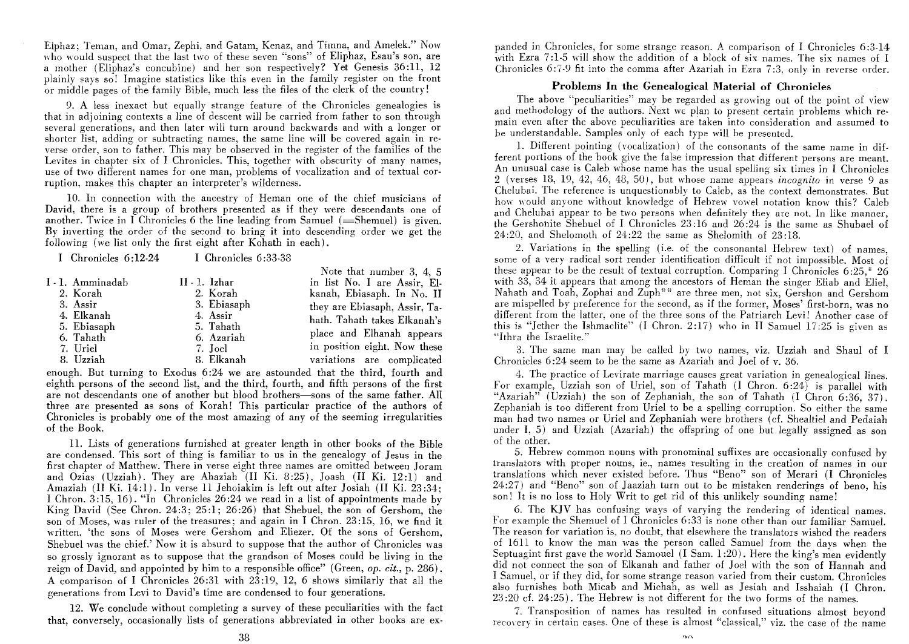Elphaz; Teman, and Omar, Zephi, and Gatam, Kenaz, and Timna, and Amelek." Now who would suspect that the last two of these seven "sons" of Eliphaz, Esau's son, are a mother (Eliphaz's concubine) and her son respectively? Yet Genesis 36:11, 12 plainly says so! Imagine statistics like this even in the family register on the front or middle pages of the family Bible, much less the files of the clerk of the country!

9. A less inexact but equally strange feature of the Chronicles genealogies is that in adjoining contexts a line of descent will be carried from father to son through several generations, and then later will turn around backwards and with a longer or shorter list, adding or subtracting names, the same line will be covered again in reverse order, son to father. This may be observed in the register of the families of the Levites in chapter six of I Chronicles. This, together with obscurity of many names, use of two different names for one man, problems of vocalization and of textual corruption, makes this chapter an interpreter's wilderness.

10. In connection with the ancestry of Heman one of the chief musicians of David, there is a group of brothers presented as if they were descendants one of another. Twice in I Chronicles 6 the line leading from Samuel  $(=\text{Shemuel})$  is given. By inverting the order of the second to bring it into descending order we get the following (we list only the first eight after Kohath in each).

| I Chronicles $6:12.24$ | I Chronicles 6:33-38 |                               |
|------------------------|----------------------|-------------------------------|
| I - 1. Amminadab       | $II \cdot 1$ . Izhar | Note that number $3, 4, 5$    |
| 2. Korah               | 2. Korah             | in list No. I are Assir, El-  |
| 3. Assir               | 3. Ebiasaph          | kanah, Ebiasaph. In No. II    |
| 4. Elkanah             | 4. Assir             | they are Ebiasaph, Assir, Ta- |
| 5. Ebiasaph            | 5. Tahath            | hath. Tahath takes Elkanah's  |
| 6. Tahath              | 6. Azariah           | place and Elhanah appears     |
| 7. Uriel               | 7. Joel              | in position eight. Now these  |
| 8. Uzziah              | 8. Elkanah           | variations are complicated    |

enough. But turning to Exodus 6 :24 we are astounded that the third, fourth and eighth persons of the second list, and the third, fourth, and fifth persons of the first are not descendants one of another but blood brothers—sons of the same father. All three are presented as sons of Korah! This particular practice of the authors of Chronicles is probably one of the most amazing of any of the seeming irregularities of the Book.

11. Lists of generations furnished at greater length in other books of the Bible are condensed. This sort of thing is familiar to us in the genealogy of Jesus in the first chapter of Matthew. There in verse eight three names are omitted between Joram and Ozias (Uzziah). They are Ahaziah (II Ki. 8:25), Joash (II Ki. 12:1) and Amaziah (II Ki. 14:1). In verse 11 Jehoiakim is left out after Josiah (II Ki. 23:34; I Chron. 3: 15, 16). "In Chronicles 26 :24 we read in a list of appointments made by King David (See Chron. 24:3; 25:1; 26:26) that Shebuel, the son of Gershom, the son of Moses, was ruler of the treasures; and again in I Chron. 23: 15, 16, we find it written, 'the sons of Moses were Gershom and Eliezer. Of the sons of Gershom, Shebuel was the chief.' Now it is absurd to suppose that the author of Chronicles was so grossly ignorant as to suppose that the grandson of Moses could be living in the reign of David, and appointed by him to a responsible office" (Green, *op. cit.,* p. 286). A comparison of 1 Chronicles 26:31 with 23:19, 12, 6 shows similarly that all the generations from Levi to David's time are condensed to four generations.

12. We conclude without completing a survey of these peculiarities with the fact that, conversely, occasionally lists of generations abbreviated in other books are ex-

panded in Chronicles, for some strange reason. A comparison of I Chronicles 6:3-14 with Ezra 7:1-5 will show the addition of a block of six names. The six names of I Chronicles 6:7-9 fit into the comma after Azariah in Ezra 7 :3, only in reverse order.

## **Problems In the Genealogical Material of Chronicles**

The above "peculiarities" may be regarded as growing out of the point of view and methodology of the authors. Next We plan to present certain problems which remain even after the above peculiarities are taken into consideration and assumed to be understandable. Samples only of each type will be presented.

1. Different pointing (vocalization) of the consonants of the same name in different portions of the book give the false impression that different persons are meant. An unusual case is Caleb whose name has the usual spelling six times in I Chronicles 2 (verses 18, 19, 42, 46, 48, 50.1, but whose name appears *incognito* in verse 9 as Chelubai. The reference is unquestionably to Caleb, as the context demonstrates. But how would anyone without knowledge of Hebrew vowel notation know this? Caleb and Chelubai appear to be two persons when definitely they are not. In like manner, the Gershohite Shebuel of I Chronicles 23: 16 and 26 :24 is the same as Shubael of  $24:20$ , and Shelomoth of  $24:22$  the same as Shelomith of  $23:18$ .

2. Variations in the spelling (i.e. of the consonantal Hebrew text) of names, some of a very radical sort render identification difficult if not impossible. Most of these appear to be the result of textual corruption. Comparing I Chronicles  $6:25$ ,  $*$  26 with 33, 34 it appears that among the ancestors of Heman the singer Eliab and Eliel. Nahath and Toah, Zophai and Zuph<sup>\*\*</sup> are three men, not six, Gershon and Gershom are mispelled by preference for the second, as if the former, Moses' first-born, was no different from the latter, one of the three sons of the Patriarch Levi! Another case of this is "Jether the Ishmaelite"  $(I \nChron. 2:17)$  who in II Samuel 17:25 is given as "Ithra the Israelite."

3. The same man may be called by two names, viz. Uzziah and Shaul of I Chronicles  $6:24$  seem to be the same as Azariah and Joel of v. 36.

4. The practice of Levirate marriage causes great variation in genealogical lines. For example, Uzziah son of Uriel, son of Tahath (I Chron. 6:24) is parallel with "Azariah" (Uzziah) the son of Zephaniah, the son of Tahath (I Chron 6:36, 37). Zephaniah is too different from Uriel to be a spelling corruption. So either the same man had two names or Uriel and Zephaniah were brothers (cf. Shealtiel and Pedaiah under I, 5) and Uzziah (Azariah) the offspring of one but legally assigned as son of the other.

5. Hebrew common nouns with pronominal suffixes are occasionally confused by translators with proper nouns, ie., names resulting in the creation of names in our translations which never existed before. Thus "Beno" son of Merari (I Chronicles 24:27) and "Beno" son of Jaaziah turn out to be mistaken renderings of beno, his son! It is no loss to Holy Writ to get rid of this unlikely sounding name!

6. The KJV has confusing ways of varying the rendering of identical names. For example the Shemuel of I Chronicles 6:33 is none other than our familiar Samuel. The reason for variation is, no doubt, that elsewhere the translators wished the readers of 1611 to know the man was the person called Samuel from the days when the Septuagint first gave the world Samouel (I Sam. 1:20). Here the king's men evidently did not connect the son of Elkanah and father of Joel with the son of Hannah and I Samuel, or if they did, for some strange reason varied from their custom. Chronicles also furnishes both Micab and Michah, as well as Jesiah and Isshaiah (I Chron. 23 :20 cf. 24:25). The Hebrew is not different for the two forms of the names.

7. Transposition of names has resulted in confused situations almost beyond recovery in certain cases. One of these is almost "classical," viz. the case of the name